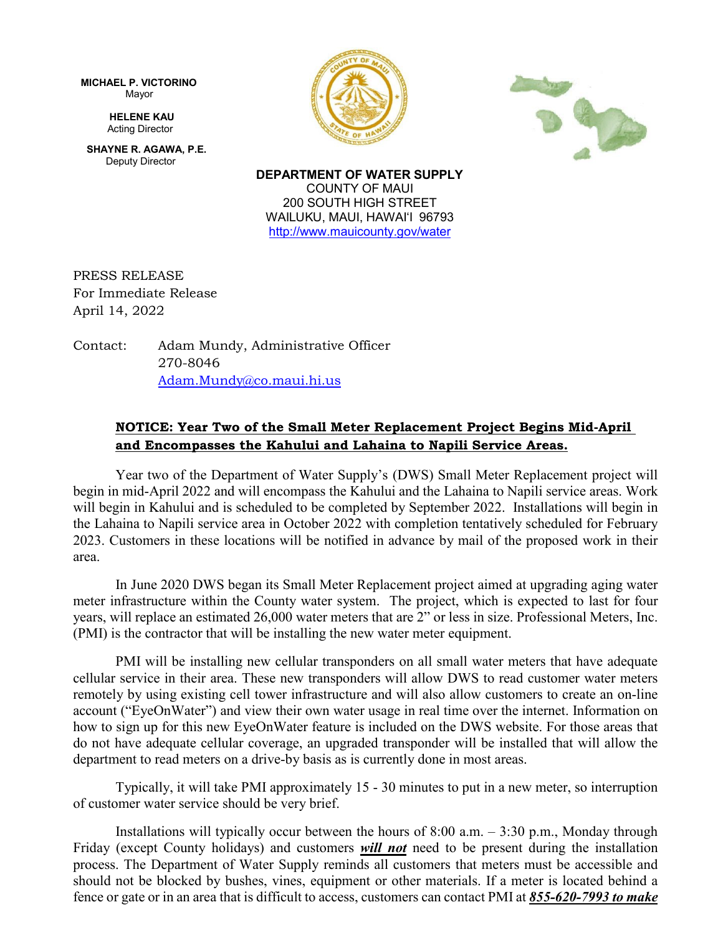**MICHAEL P. VICTORINO** Mayor

> **HELENE KAU** Acting Director

**SHAYNE R. AGAWA, P.E.** Deputy Director





**DEPARTMENT OF WATER SUPPLY** COUNTY OF MAUI 200 SOUTH HIGH STREET WAILUKU, MAUI, HAWAIʻI 96793 <http://www.mauicounty.gov/water>

PRESS RELEASE For Immediate Release April 14, 2022

Contact: Adam Mundy, Administrative Officer 270-8046 [Adam.Mundy@co.maui.hi.us](mailto:Adam.Mundy@co.maui.hi.us)

## **NOTICE: Year Two of the Small Meter Replacement Project Begins Mid-April and Encompasses the Kahului and Lahaina to Napili Service Areas.**

Year two of the Department of Water Supply's (DWS) Small Meter Replacement project will begin in mid-April 2022 and will encompass the Kahului and the Lahaina to Napili service areas. Work will begin in Kahului and is scheduled to be completed by September 2022. Installations will begin in the Lahaina to Napili service area in October 2022 with completion tentatively scheduled for February 2023. Customers in these locations will be notified in advance by mail of the proposed work in their area.

In June 2020 DWS began its Small Meter Replacement project aimed at upgrading aging water meter infrastructure within the County water system. The project, which is expected to last for four years, will replace an estimated 26,000 water meters that are 2" or less in size. Professional Meters, Inc. (PMI) is the contractor that will be installing the new water meter equipment.

PMI will be installing new cellular transponders on all small water meters that have adequate cellular service in their area. These new transponders will allow DWS to read customer water meters remotely by using existing cell tower infrastructure and will also allow customers to create an on-line account ("EyeOnWater") and view their own water usage in real time over the internet. Information on how to sign up for this new EyeOnWater feature is included on the DWS website. For those areas that do not have adequate cellular coverage, an upgraded transponder will be installed that will allow the department to read meters on a drive-by basis as is currently done in most areas.

Typically, it will take PMI approximately 15 - 30 minutes to put in a new meter, so interruption of customer water service should be very brief.

Installations will typically occur between the hours of 8:00 a.m. – 3:30 p.m., Monday through Friday (except County holidays) and customers *will not* need to be present during the installation process. The Department of Water Supply reminds all customers that meters must be accessible and should not be blocked by bushes, vines, equipment or other materials. If a meter is located behind a fence or gate or in an area that is difficult to access, customers can contact PMI at *855-620-7993 to make*